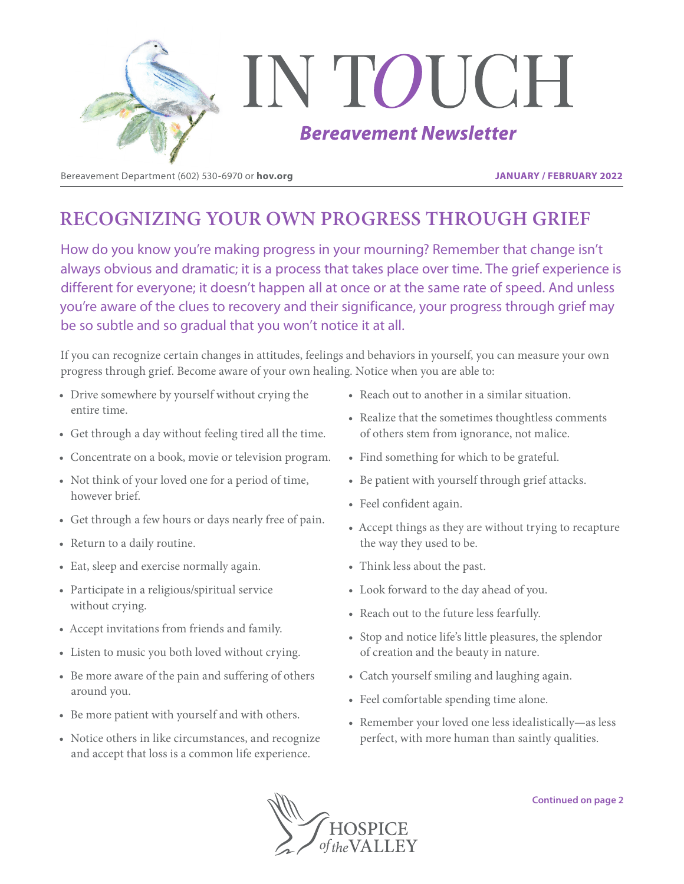

Bereavement Department (602) 530-6970 or **hov.org JANUARY / FEBRUARY 2022**

# **RECOGNIZING YOUR OWN PROGRESS THROUGH GRIEF**

How do you know you're making progress in your mourning? Remember that change isn't always obvious and dramatic; it is a process that takes place over time. The grief experience is different for everyone; it doesn't happen all at once or at the same rate of speed. And unless you're aware of the clues to recovery and their significance, your progress through grief may be so subtle and so gradual that you won't notice it at all.

If you can recognize certain changes in attitudes, feelings and behaviors in yourself, you can measure your own progress through grief. Become aware of your own healing. Notice when you are able to:

- Drive somewhere by yourself without crying the entire time.
- Get through a day without feeling tired all the time.
- Concentrate on a book, movie or television program.
- Not think of your loved one for a period of time, however brief.
- Get through a few hours or days nearly free of pain.
- Return to a daily routine.
- Eat, sleep and exercise normally again.
- Participate in a religious/spiritual service without crying.
- Accept invitations from friends and family.
- Listen to music you both loved without crying.
- Be more aware of the pain and suffering of others around you.
- Be more patient with yourself and with others.
- Notice others in like circumstances, and recognize and accept that loss is a common life experience.
- Reach out to another in a similar situation.
- Realize that the sometimes thoughtless comments of others stem from ignorance, not malice.
- Find something for which to be grateful.
- Be patient with yourself through grief attacks.
- Feel confident again.
- Accept things as they are without trying to recapture the way they used to be.
- Think less about the past.
- Look forward to the day ahead of you.
- Reach out to the future less fearfully.
- Stop and notice life's little pleasures, the splendor of creation and the beauty in nature.
- Catch yourself smiling and laughing again.
- Feel comfortable spending time alone.
- Remember your loved one less idealistically—as less perfect, with more human than saintly qualities.

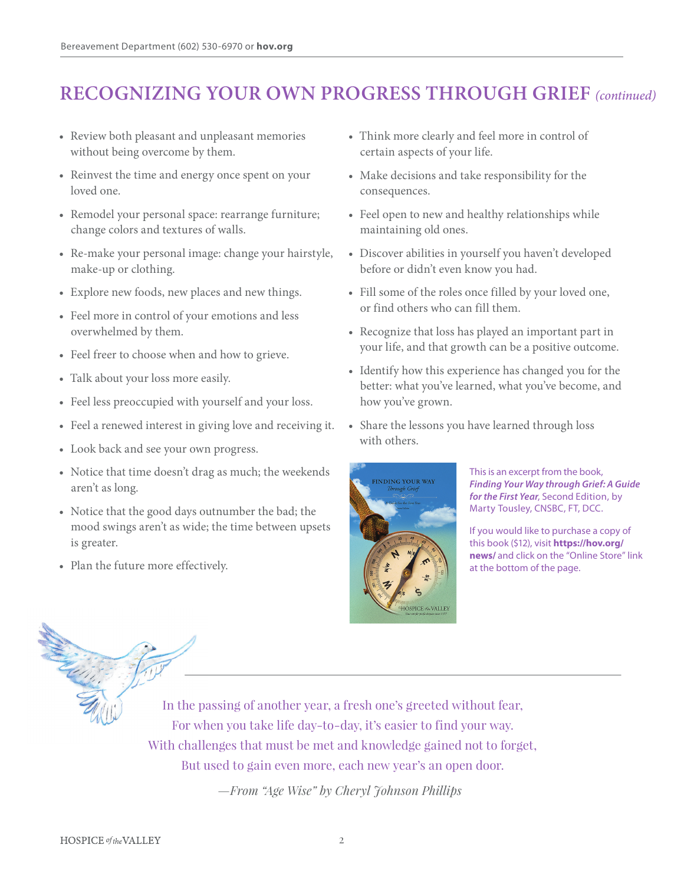# **RECOGNIZING YOUR OWN PROGRESS THROUGH GRIEF** *(continued)*

- Review both pleasant and unpleasant memories without being overcome by them.
- Reinvest the time and energy once spent on your loved one.
- Remodel your personal space: rearrange furniture; change colors and textures of walls.
- Re-make your personal image: change your hairstyle, make-up or clothing.
- Explore new foods, new places and new things.
- Feel more in control of your emotions and less overwhelmed by them.
- Feel freer to choose when and how to grieve.
- Talk about your loss more easily.
- Feel less preoccupied with yourself and your loss.
- Feel a renewed interest in giving love and receiving it.
- Look back and see your own progress.
- Notice that time doesn't drag as much; the weekends aren't as long.
- Notice that the good days outnumber the bad; the mood swings aren't as wide; the time between upsets is greater.
- Plan the future more effectively.
- Think more clearly and feel more in control of certain aspects of your life.
- Make decisions and take responsibility for the consequences.
- Feel open to new and healthy relationships while maintaining old ones.
- Discover abilities in yourself you haven't developed before or didn't even know you had.
- Fill some of the roles once filled by your loved one, or find others who can fill them.
- Recognize that loss has played an important part in your life, and that growth can be a positive outcome.
- Identify how this experience has changed you for the better: what you've learned, what you've become, and how you've grown.
- Share the lessons you have learned through loss with others.



This is an excerpt from the book, *Finding Your Way through Grief: A Guide for the First Year*, Second Edition, by Marty Tousley, CNSBC, FT, DCC.

If you would like to purchase a copy of this book (\$12), visit **https://hov.org/ news/** and click on the "Online Store" link at the bottom of the page.



In the passing of another year, a fresh one's greeted without fear, For when you take life day-to-day, it's easier to find your way. With challenges that must be met and knowledge gained not to forget, But used to gain even more, each new year's an open door.

*—From "Age Wise" by Cheryl Johnson Phillips*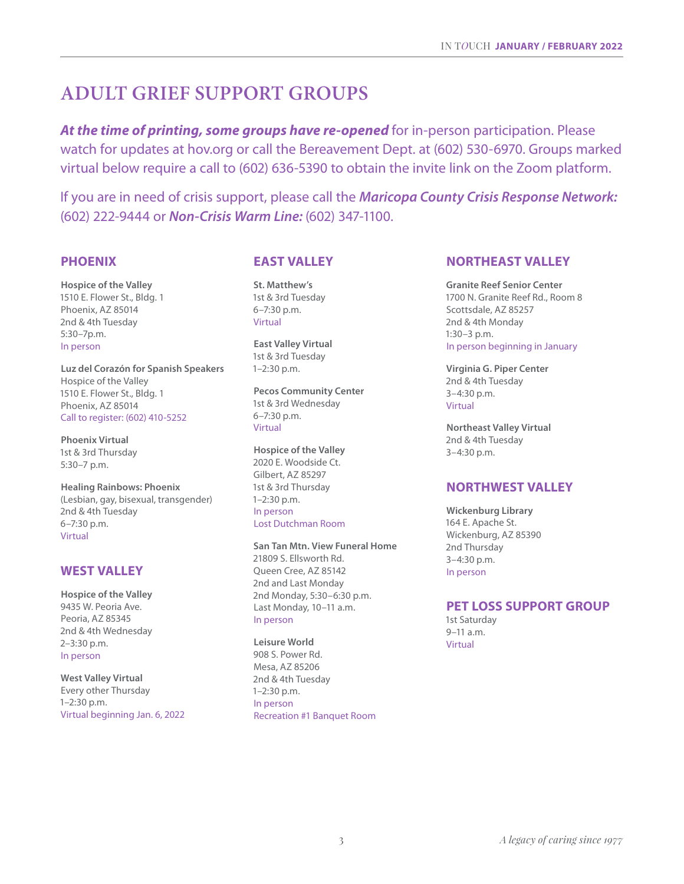# **ADULT GRIEF SUPPORT GROUPS**

At the time of printing, some groups have re-opened for in-person participation. Please watch for updates at hov.org or call the Bereavement Dept. at (602) 530-6970. Groups marked virtual below require a call to (602) 636-5390 to obtain the invite link on the Zoom platform.

If you are in need of crisis support, please call the *Maricopa County Crisis Response Network:*  (602) 222-9444 or *Non-Crisis Warm Line:* (602) 347-1100.

### **PHOENIX**

**Hospice of the Valley** 1510 E. Flower St., Bldg. 1 Phoenix, AZ 85014 2nd & 4th Tuesday 5:30–7p.m. In person

**Luz del Corazón for Spanish Speakers** Hospice of the Valley 1510 E. Flower St., Bldg. 1 Phoenix, AZ 85014 Call to register: (602) 410-5252

**Phoenix Virtual** 1st & 3rd Thursday 5:30–7 p.m.

**Healing Rainbows: Phoenix** (Lesbian, gay, bisexual, transgender) 2nd & 4th Tuesday 6–7:30 p.m. Virtual

## **WEST VALLEY**

**Hospice of the Valley** 9435 W. Peoria Ave. Peoria, AZ 85345 2nd & 4th Wednesday 2–3:30 p.m. In person

**West Valley Virtual** Every other Thursday 1–2:30 p.m. Virtual beginning Jan. 6, 2022

## **EAST VALLEY**

**St. Matthew's** 1st & 3rd Tuesday 6–7:30 p.m. Virtual

**East Valley Virtual** 1st & 3rd Tuesday 1–2:30 p.m.

**Pecos Community Center** 1st & 3rd Wednesday 6–7:30 p.m. Virtual

**Hospice of the Valley** 2020 E. Woodside Ct. Gilbert, AZ 85297 1st & 3rd Thursday 1–2:30 p.m. In person Lost Dutchman Room

**San Tan Mtn. View Funeral Home** 21809 S. Ellsworth Rd. Queen Cree, AZ 85142 2nd and Last Monday 2nd Monday, 5:30–6:30 p.m. Last Monday, 10–11 a.m. In person

**Leisure World** 908 S. Power Rd. Mesa, AZ 85206 2nd & 4th Tuesday 1–2:30 p.m. In person Recreation #1 Banquet Room

#### **NORTHEAST VALLEY**

**Granite Reef Senior Center** 1700 N. Granite Reef Rd., Room 8 Scottsdale, AZ 85257 2nd & 4th Monday 1:30–3 p.m. In person beginning in January

**Virginia G. Piper Center** 2nd & 4th Tuesday 3–4:30 p.m. Virtual

**Northeast Valley Virtual** 2nd & 4th Tuesday 3–4:30 p.m.

### **NORTHWEST VALLEY**

**Wickenburg Library** 164 E. Apache St. Wickenburg, AZ 85390 2nd Thursday 3–4:30 p.m. In person

#### **PET LOSS SUPPORT GROUP**

1st Saturday  $9 - 11$  a.m. Virtual